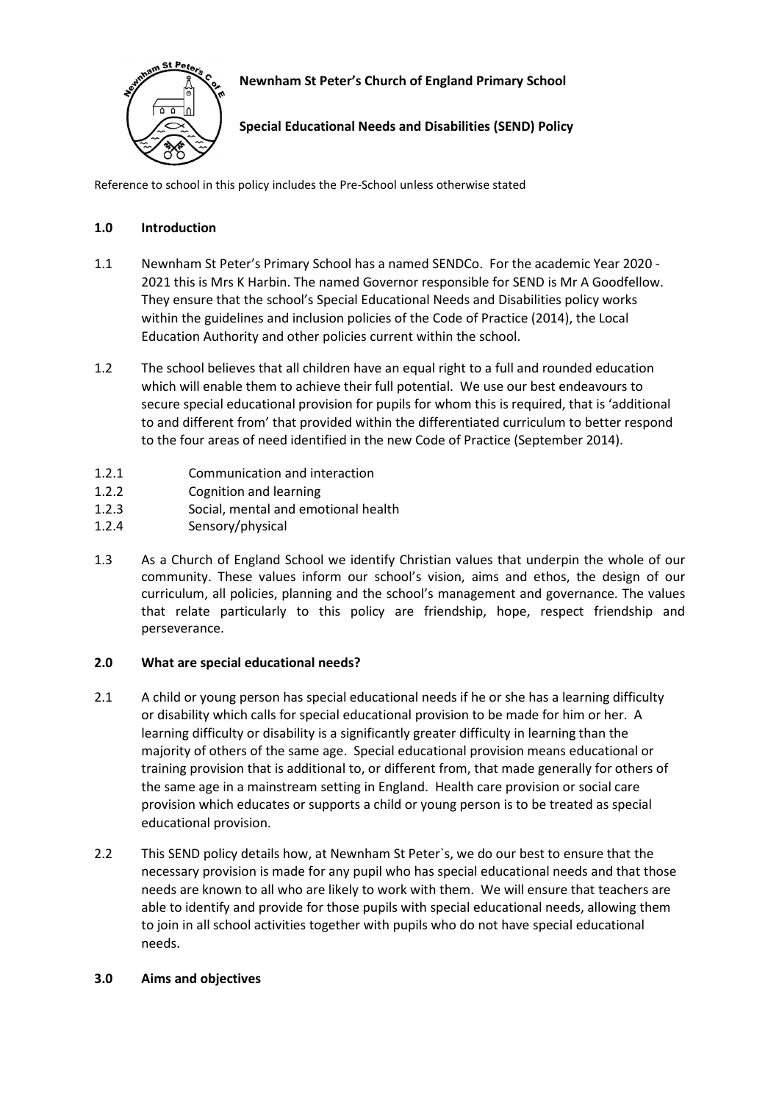

# **Newnham St Peter's Church of England Primary School**

**Special Educational Needs and Disabilities (SEND) Policy** 

Reference to school in this policy includes the Pre-School unless otherwise stated

# **1.0 Introduction**

- 1.1 Newnham St Peter's Primary School has a named SENDCo. For the academic Year 2020 2021 this is Mrs K Harbin. The named Governor responsible for SEND is Mr A Goodfellow. They ensure that the school's Special Educational Needs and Disabilities policy works within the guidelines and inclusion policies of the Code of Practice (2014), the Local Education Authority and other policies current within the school.
- 1.2 The school believes that all children have an equal right to a full and rounded education which will enable them to achieve their full potential. We use our best endeavours to secure special educational provision for pupils for whom this is required, that is 'additional to and different from' that provided within the differentiated curriculum to better respond to the four areas of need identified in the new Code of Practice (September 2014).
- 1.2.1 Communication and interaction
- 1.2.2 Cognition and learning
- 1.2.3 Social, mental and emotional health
- 1.2.4 Sensory/physical
- 1.3 As a Church of England School we identify Christian values that underpin the whole of our community. These values inform our school's vision, aims and ethos, the design of our curriculum, all policies, planning and the school's management and governance. The values that relate particularly to this policy are friendship, hope, respect friendship and perseverance.

# **2.0 What are special educational needs?**

- 2.1 A child or young person has special educational needs if he or she has a learning difficulty or disability which calls for special educational provision to be made for him or her. A learning difficulty or disability is a significantly greater difficulty in learning than the majority of others of the same age. Special educational provision means educational or training provision that is additional to, or different from, that made generally for others of the same age in a mainstream setting in England. Health care provision or social care provision which educates or supports a child or young person is to be treated as special educational provision.
- 2.2 This SEND policy details how, at Newnham St Peter`s, we do our best to ensure that the necessary provision is made for any pupil who has special educational needs and that those needs are known to all who are likely to work with them. We will ensure that teachers are able to identify and provide for those pupils with special educational needs, allowing them to join in all school activities together with pupils who do not have special educational needs.

# **3.0 Aims and objectives**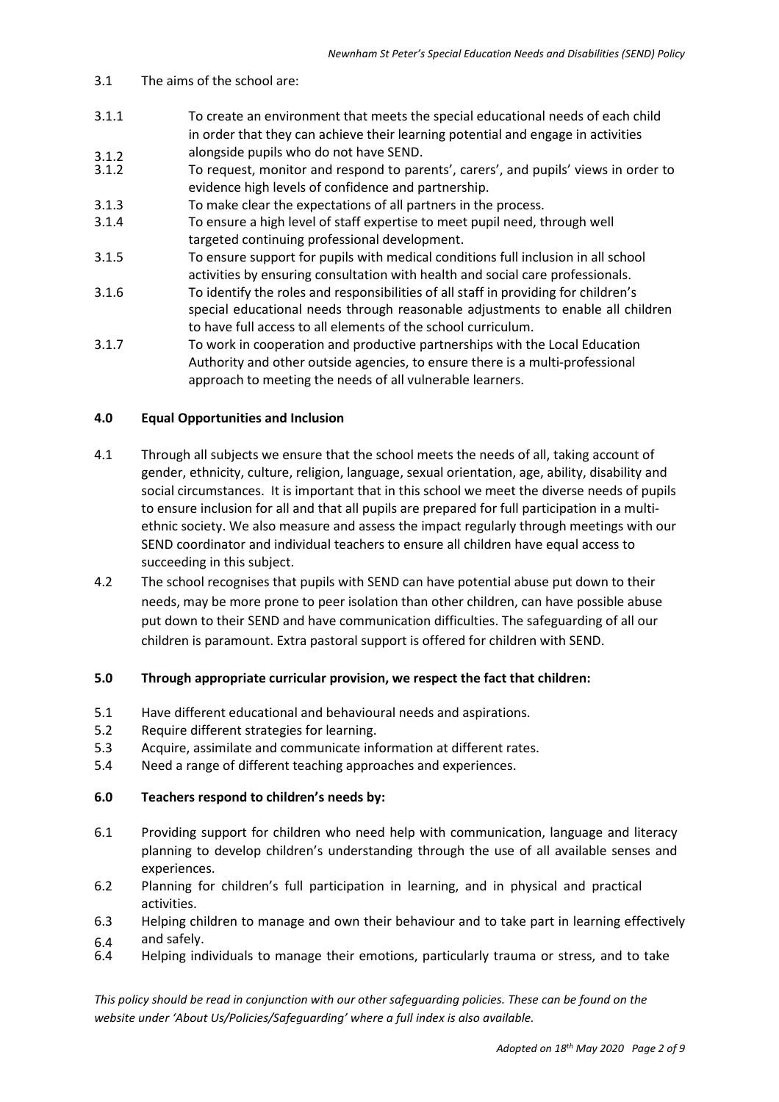### 3.1 The aims of the school are:

- 3.1.1 To create an environment that meets the special educational needs of each child in order that they can achieve their learning potential and engage in activities
- 3.1.2 alongside pupils who do not have SEND.<br>3.1.2 To request, monitor and respond to pare 3.1.2 To request, monitor and respond to parents', carers', and pupils' views in order to evidence high levels of confidence and partnership.
- 3.1.3 To make clear the expectations of all partners in the process.
- 3.1.4 To ensure a high level of staff expertise to meet pupil need, through well targeted continuing professional development.
- 3.1.5 To ensure support for pupils with medical conditions full inclusion in all school activities by ensuring consultation with health and social care professionals.
- 3.1.6 To identify the roles and responsibilities of all staff in providing for children's special educational needs through reasonable adjustments to enable all children to have full access to all elements of the school curriculum.
- 3.1.7 To work in cooperation and productive partnerships with the Local Education Authority and other outside agencies, to ensure there is a multi-professional approach to meeting the needs of all vulnerable learners.

### **4.0 Equal Opportunities and Inclusion**

- 4.1 Through all subjects we ensure that the school meets the needs of all, taking account of gender, ethnicity, culture, religion, language, sexual orientation, age, ability, disability and social circumstances. It is important that in this school we meet the diverse needs of pupils to ensure inclusion for all and that all pupils are prepared for full participation in a multi ethnic society. We also measure and assess the impact regularly through meetings with our SEND coordinator and individual teachers to ensure all children have equal access to succeeding in this subject.
- 4.2 The school recognises that pupils with SEND can have potential abuse put down to their needs, may be more prone to peer isolation than other children, can have possible abuse put down to their SEND and have communication difficulties. The safeguarding of all our children is paramount. Extra pastoral support is offered for children with SEND.

### **5.0 Through appropriate curricular provision, we respect the fact that children:**

- 5.1 Have different educational and behavioural needs and aspirations.
- 5.2 Require different strategies for learning.
- 5.3 Acquire, assimilate and communicate information at different rates.
- 5.4 Need a range of different teaching approaches and experiences.

### **6.0 Teachers respond to children's needs by:**

- 6.1 Providing support for children who need help with communication, language and literacy planning to develop children's understanding through the use of all available senses and experiences.
- 6.2 Planning for children's full participation in learning, and in physical and practical activities.
- 6.3 Helping children to manage and own their behaviour and to take part in learning effectively
- 6.4 and safely.<br>6.4 Helping ing Helping individuals to manage their emotions, particularly trauma or stress, and to take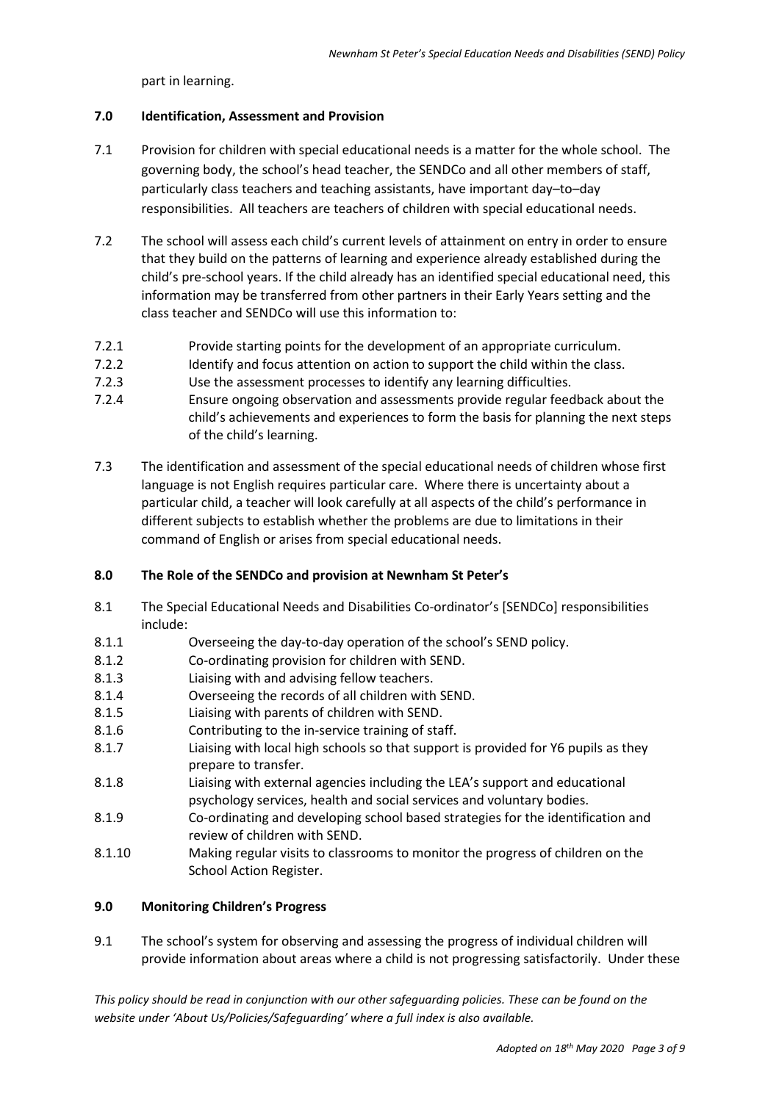part in learning.

### **7.0 Identification, Assessment and Provision**

- 7.1 Provision for children with special educational needs is a matter for the whole school. The governing body, the school's head teacher, the SENDCo and all other members of staff, particularly class teachers and teaching assistants, have important day–to–day responsibilities. All teachers are teachers of children with special educational needs.
- 7.2 The school will assess each child's current levels of attainment on entry in order to ensure that they build on the patterns of learning and experience already established during the child's pre-school years. If the child already has an identified special educational need, this information may be transferred from other partners in their Early Years setting and the class teacher and SENDCo will use this information to:
- 7.2.1 Provide starting points for the development of an appropriate curriculum.
- 7.2.2 Identify and focus attention on action to support the child within the class.
- 7.2.3 Use the assessment processes to identify any learning difficulties.
- 7.2.4 Ensure ongoing observation and assessments provide regular feedback about the child's achievements and experiences to form the basis for planning the next steps of the child's learning.
- 7.3 The identification and assessment of the special educational needs of children whose first language is not English requires particular care. Where there is uncertainty about a particular child, a teacher will look carefully at all aspects of the child's performance in different subjects to establish whether the problems are due to limitations in their command of English or arises from special educational needs.

# **8.0 The Role of the SENDCo and provision at Newnham St Peter's**

- 8.1 The Special Educational Needs and Disabilities Co-ordinator's [SENDCo] responsibilities include:
- 8.1.1 Overseeing the day-to-day operation of the school's SEND policy.
- 8.1.2 Co-ordinating provision for children with SEND.
- 8.1.3 Liaising with and advising fellow teachers.
- 8.1.4 Overseeing the records of all children with SEND.
- 8.1.5 Liaising with parents of children with SEND.
- 8.1.6 Contributing to the in-service training of staff.
- 8.1.7 Liaising with local high schools so that support is provided for Y6 pupils as they prepare to transfer.
- 8.1.8 Liaising with external agencies including the LEA's support and educational psychology services, health and social services and voluntary bodies.
- 8.1.9 Co-ordinating and developing school based strategies for the identification and review of children with SEND.
- 8.1.10 Making regular visits to classrooms to monitor the progress of children on the School Action Register.

# **9.0 Monitoring Children's Progress**

9.1 The school's system for observing and assessing the progress of individual children will provide information about areas where a child is not progressing satisfactorily. Under these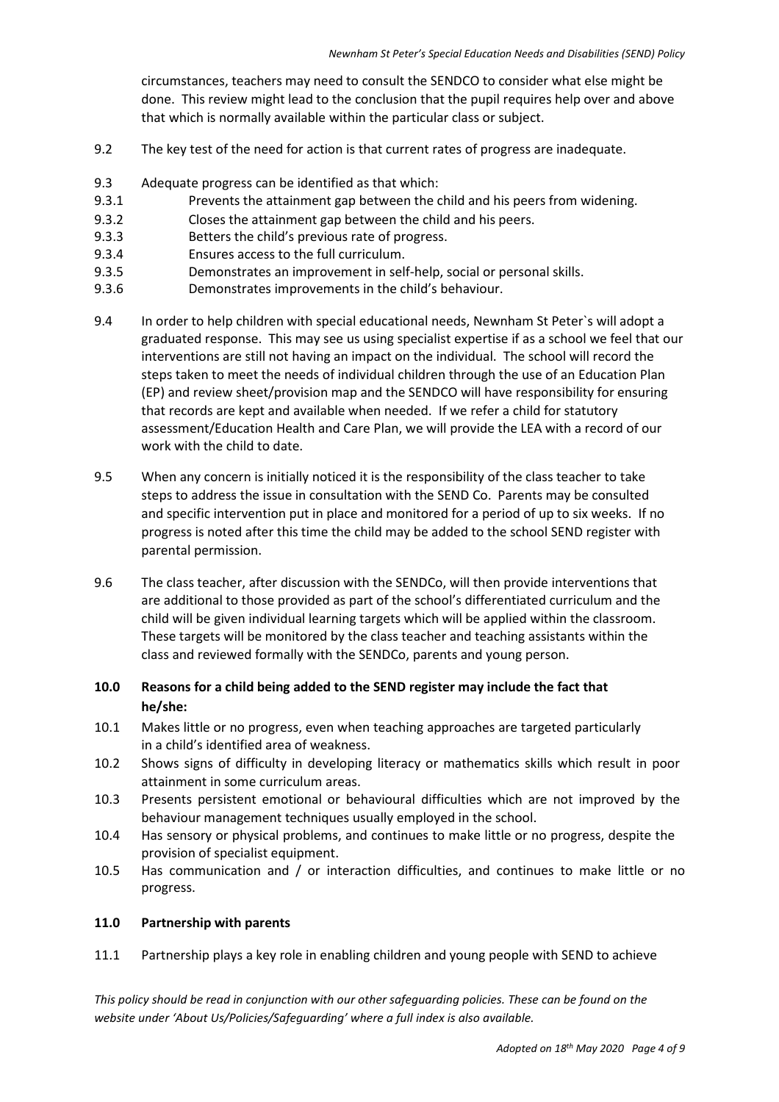circumstances, teachers may need to consult the SENDCO to consider what else might be done. This review might lead to the conclusion that the pupil requires help over and above that which is normally available within the particular class or subject.

- 9.2 The key test of the need for action is that current rates of progress are inadequate.
- 9.3 Adequate progress can be identified as that which:
- 9.3.1 Prevents the attainment gap between the child and his peers from widening.
- 9.3.2 Closes the attainment gap between the child and his peers.
- 9.3.3 Betters the child's previous rate of progress.
- 9.3.4 Ensures access to the full curriculum.
- 9.3.5 Demonstrates an improvement in self-help, social or personal skills.
- 9.3.6 Demonstrates improvements in the child's behaviour.
- 9.4 In order to help children with special educational needs, Newnham St Peter`s will adopt a graduated response. This may see us using specialist expertise if as a school we feel that our interventions are still not having an impact on the individual. The school will record the steps taken to meet the needs of individual children through the use of an Education Plan (EP) and review sheet/provision map and the SENDCO will have responsibility for ensuring that records are kept and available when needed. If we refer a child for statutory assessment/Education Health and Care Plan, we will provide the LEA with a record of our work with the child to date.
- 9.5 When any concern is initially noticed it is the responsibility of the class teacher to take steps to address the issue in consultation with the SEND Co. Parents may be consulted and specific intervention put in place and monitored for a period of up to six weeks. If no progress is noted after this time the child may be added to the school SEND register with parental permission.
- 9.6 The class teacher, after discussion with the SENDCo, will then provide interventions that are additional to those provided as part of the school's differentiated curriculum and the child will be given individual learning targets which will be applied within the classroom. These targets will be monitored by the class teacher and teaching assistants within the class and reviewed formally with the SENDCo, parents and young person.
- **10.0 Reasons for a child being added to the SEND register may include the fact that he/she:**
- 10.1 Makes little or no progress, even when teaching approaches are targeted particularly in a child's identified area of weakness.
- 10.2 Shows signs of difficulty in developing literacy or mathematics skills which result in poor attainment in some curriculum areas.
- 10.3 Presents persistent emotional or behavioural difficulties which are not improved by the behaviour management techniques usually employed in the school.
- 10.4 Has sensory or physical problems, and continues to make little or no progress, despite the provision of specialist equipment.
- 10.5 Has communication and / or interaction difficulties, and continues to make little or no progress.

## **11.0 Partnership with parents**

11.1 Partnership plays a key role in enabling children and young people with SEND to achieve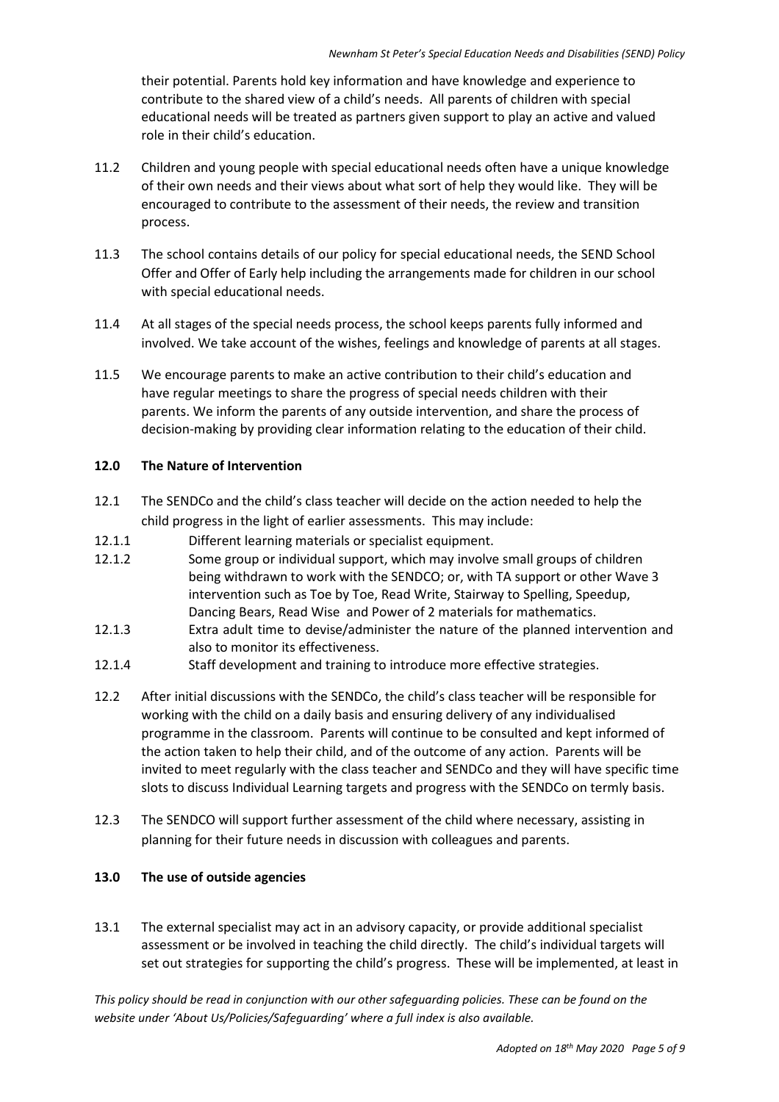their potential. Parents hold key information and have knowledge and experience to contribute to the shared view of a child's needs. All parents of children with special educational needs will be treated as partners given support to play an active and valued role in their child's education.

- 11.2 Children and young people with special educational needs often have a unique knowledge of their own needs and their views about what sort of help they would like. They will be encouraged to contribute to the assessment of their needs, the review and transition process.
- 11.3 The school contains details of our policy for special educational needs, the SEND School Offer and Offer of Early help including the arrangements made for children in our school with special educational needs.
- 11.4 At all stages of the special needs process, the school keeps parents fully informed and involved. We take account of the wishes, feelings and knowledge of parents at all stages.
- 11.5 We encourage parents to make an active contribution to their child's education and have regular meetings to share the progress of special needs children with their parents. We inform the parents of any outside intervention, and share the process of decision-making by providing clear information relating to the education of their child.

### **12.0 The Nature of Intervention**

- 12.1 The SENDCo and the child's class teacher will decide on the action needed to help the child progress in the light of earlier assessments. This may include:
- 12.1.1 Different learning materials or specialist equipment.
- 12.1.2 Some group or individual support, which may involve small groups of children being withdrawn to work with the SENDCO; or, with TA support or other Wave 3 intervention such as Toe by Toe, Read Write, Stairway to Spelling, Speedup, Dancing Bears, Read Wise and Power of 2 materials for mathematics.
- 12.1.3 Extra adult time to devise/administer the nature of the planned intervention and also to monitor its effectiveness.
- 12.1.4 Staff development and training to introduce more effective strategies.
- 12.2 After initial discussions with the SENDCo, the child's class teacher will be responsible for working with the child on a daily basis and ensuring delivery of any individualised programme in the classroom. Parents will continue to be consulted and kept informed of the action taken to help their child, and of the outcome of any action. Parents will be invited to meet regularly with the class teacher and SENDCo and they will have specific time slots to discuss Individual Learning targets and progress with the SENDCo on termly basis.
- 12.3 The SENDCO will support further assessment of the child where necessary, assisting in planning for their future needs in discussion with colleagues and parents.

### **13.0 The use of outside agencies**

13.1 The external specialist may act in an advisory capacity, or provide additional specialist assessment or be involved in teaching the child directly. The child's individual targets will set out strategies for supporting the child's progress. These will be implemented, at least in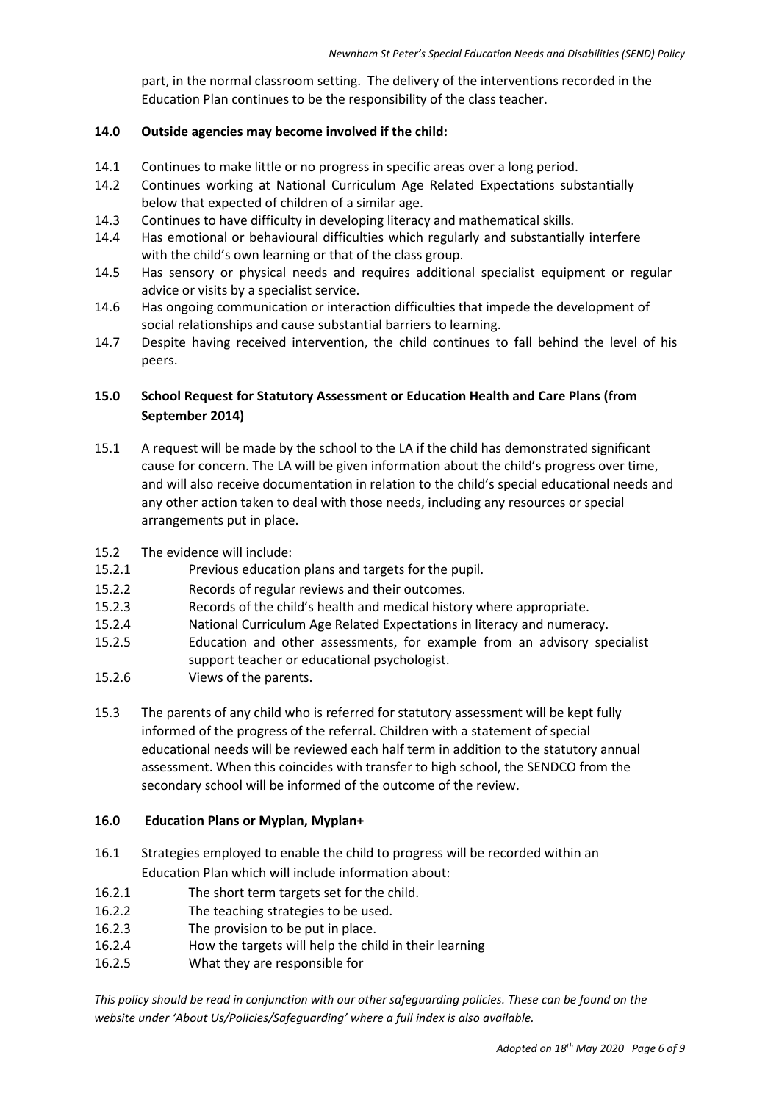part, in the normal classroom setting. The delivery of the interventions recorded in the Education Plan continues to be the responsibility of the class teacher.

## **14.0 Outside agencies may become involved if the child:**

- 14.1 Continues to make little or no progress in specific areas over a long period.
- 14.2 Continues working at National Curriculum Age Related Expectations substantially below that expected of children of a similar age.
- 14.3 Continues to have difficulty in developing literacy and mathematical skills.
- 14.4 Has emotional or behavioural difficulties which regularly and substantially interfere with the child's own learning or that of the class group.
- 14.5 Has sensory or physical needs and requires additional specialist equipment or regular advice or visits by a specialist service.
- 14.6 Has ongoing communication or interaction difficulties that impede the development of social relationships and cause substantial barriers to learning.
- 14.7 Despite having received intervention, the child continues to fall behind the level of his peers.

# **15.0 School Request for Statutory Assessment or Education Health and Care Plans (from September 2014)**

- 15.1 A request will be made by the school to the LA if the child has demonstrated significant cause for concern. The LA will be given information about the child's progress over time, and will also receive documentation in relation to the child's special educational needs and any other action taken to deal with those needs, including any resources or special arrangements put in place.
- 15.2 The evidence will include:
- 15.2.1 Previous education plans and targets for the pupil.
- 15.2.2 Records of regular reviews and their outcomes.
- 15.2.3 Records of the child's health and medical history where appropriate.
- 15.2.4 National Curriculum Age Related Expectations in literacy and numeracy.
- 15.2.5 Education and other assessments, for example from an advisory specialist support teacher or educational psychologist.
- 15.2.6 Views of the parents.
- 15.3 The parents of any child who is referred for statutory assessment will be kept fully informed of the progress of the referral. Children with a statement of special educational needs will be reviewed each half term in addition to the statutory annual assessment. When this coincides with transfer to high school, the SENDCO from the secondary school will be informed of the outcome of the review.

### **16.0 Education Plans or Myplan, Myplan+**

- 16.1 Strategies employed to enable the child to progress will be recorded within an Education Plan which will include information about:
- 16.2.1 The short term targets set for the child.
- 16.2.2 The teaching strategies to be used.
- 16.2.3 The provision to be put in place.
- 16.2.4 How the targets will help the child in their learning
- 16.2.5 What they are responsible for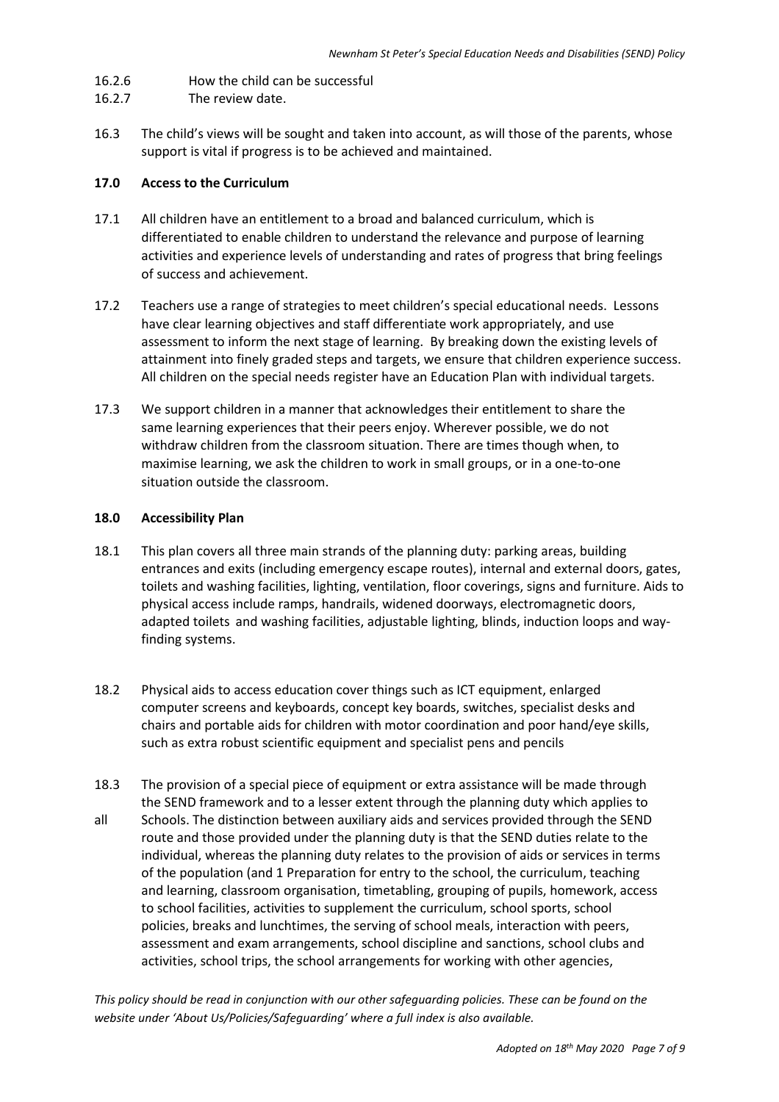- 16.2.6 How the child can be successful
- 16.2.7 The review date.
- 16.3 The child's views will be sought and taken into account, as will those of the parents, whose support is vital if progress is to be achieved and maintained.

#### **17.0 Access to the Curriculum**

- 17.1 All children have an entitlement to a broad and balanced curriculum, which is differentiated to enable children to understand the relevance and purpose of learning activities and experience levels of understanding and rates of progress that bring feelings of success and achievement.
- 17.2 Teachers use a range of strategies to meet children's special educational needs. Lessons have clear learning objectives and staff differentiate work appropriately, and use assessment to inform the next stage of learning. By breaking down the existing levels of attainment into finely graded steps and targets, we ensure that children experience success. All children on the special needs register have an Education Plan with individual targets.
- 17.3 We support children in a manner that acknowledges their entitlement to share the same learning experiences that their peers enjoy. Wherever possible, we do not withdraw children from the classroom situation. There are times though when, to maximise learning, we ask the children to work in small groups, or in a one-to-one situation outside the classroom.

#### **18.0 Accessibility Plan**

- 18.1 This plan covers all three main strands of the planning duty: parking areas, building entrances and exits (including emergency escape routes), internal and external doors, gates, toilets and washing facilities, lighting, ventilation, floor coverings, signs and furniture. Aids to physical access include ramps, handrails, widened doorways, electromagnetic doors, adapted toilets and washing facilities, adjustable lighting, blinds, induction loops and way finding systems.
- 18.2 Physical aids to access education cover things such as ICT equipment, enlarged computer screens and keyboards, concept key boards, switches, specialist desks and chairs and portable aids for children with motor coordination and poor hand/eye skills, such as extra robust scientific equipment and specialist pens and pencils
- 18.3 The provision of a special piece of equipment or extra assistance will be made through the SEND framework and to a lesser extent through the planning duty which applies to all Schools. The distinction between auxiliary aids and services provided through the SEND route and those provided under the planning duty is that the SEND duties relate to the individual, whereas the planning duty relates to the provision of aids or services in terms of the population (and 1 Preparation for entry to the school, the curriculum, teaching and learning, classroom organisation, timetabling, grouping of pupils, homework, access to school facilities, activities to supplement the curriculum, school sports, school policies, breaks and lunchtimes, the serving of school meals, interaction with peers, assessment and exam arrangements, school discipline and sanctions, school clubs and activities, school trips, the school arrangements for working with other agencies,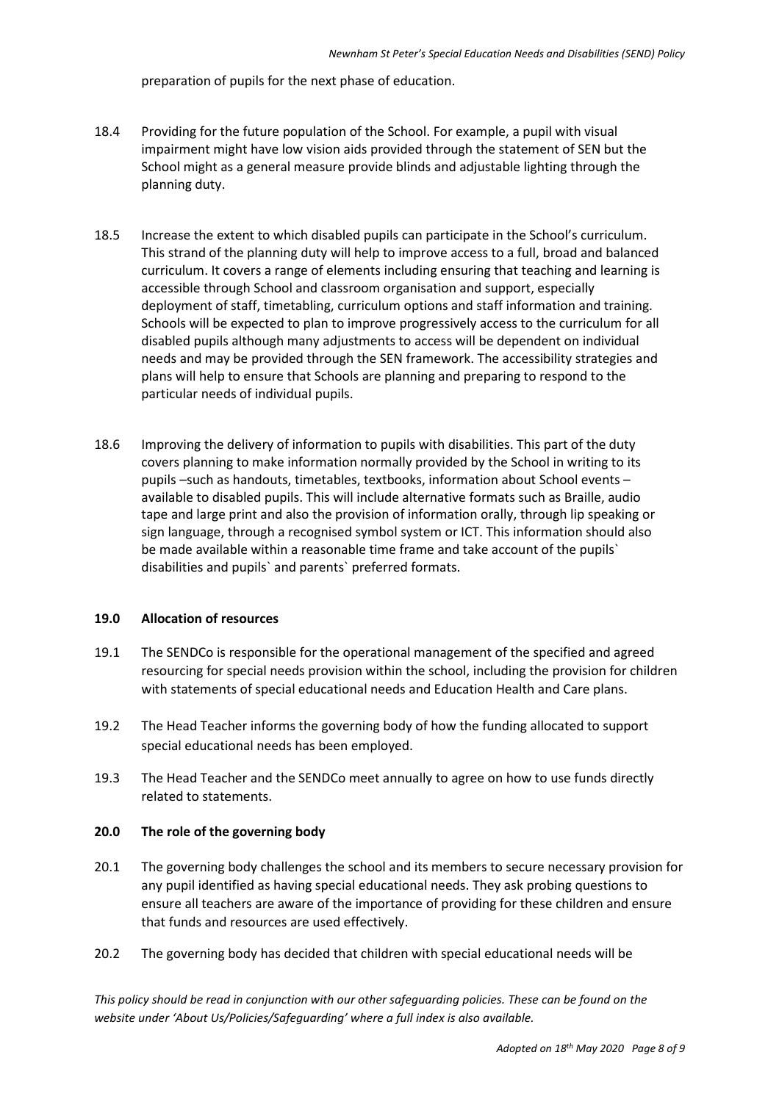preparation of pupils for the next phase of education.

- 18.4 Providing for the future population of the School. For example, a pupil with visual impairment might have low vision aids provided through the statement of SEN but the School might as a general measure provide blinds and adjustable lighting through the planning duty.
- 18.5 Increase the extent to which disabled pupils can participate in the School's curriculum. This strand of the planning duty will help to improve access to a full, broad and balanced curriculum. It covers a range of elements including ensuring that teaching and learning is accessible through School and classroom organisation and support, especially deployment of staff, timetabling, curriculum options and staff information and training. Schools will be expected to plan to improve progressively access to the curriculum for all disabled pupils although many adjustments to access will be dependent on individual needs and may be provided through the SEN framework. The accessibility strategies and plans will help to ensure that Schools are planning and preparing to respond to the particular needs of individual pupils.
- 18.6 Improving the delivery of information to pupils with disabilities. This part of the duty covers planning to make information normally provided by the School in writing to its pupils –such as handouts, timetables, textbooks, information about School events – available to disabled pupils. This will include alternative formats such as Braille, audio tape and large print and also the provision of information orally, through lip speaking or sign language, through a recognised symbol system or ICT. This information should also be made available within a reasonable time frame and take account of the pupils` disabilities and pupils` and parents` preferred formats.

#### **19.0 Allocation of resources**

- 19.1 The SENDCo is responsible for the operational management of the specified and agreed resourcing for special needs provision within the school, including the provision for children with statements of special educational needs and Education Health and Care plans.
- 19.2 The Head Teacher informs the governing body of how the funding allocated to support special educational needs has been employed.
- 19.3 The Head Teacher and the SENDCo meet annually to agree on how to use funds directly related to statements.

#### **20.0 The role of the governing body**

- 20.1 The governing body challenges the school and its members to secure necessary provision for any pupil identified as having special educational needs. They ask probing questions to ensure all teachers are aware of the importance of providing for these children and ensure that funds and resources are used effectively.
- 20.2 The governing body has decided that children with special educational needs will be